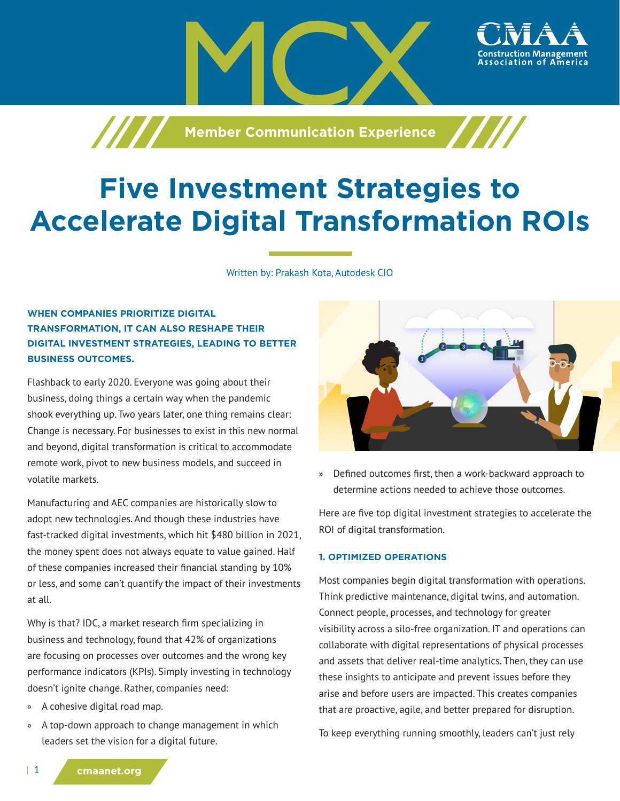

# **Five Investment Strategies to Accelerate Digital Transformation ROIs**

Written by: Prakash Kota, Autodesk CIO

# **WHEN COMPANIES PRIORITIZE DIGITAL TRANSFORMATION, IT CAN ALSO RESHAPE THEIR DIGITAL INVESTMENT STRATEGIES, LEADING TO BETTER BUSINESS OUTCOMES.**

Flashback to early 2020. Everyone was going about their business, doing things a certain way when the pandemic shook everything up. Two years later, one thing remains clear: Change is necessary. For businesses to exist in this new normal and beyond, digital transformation is critical to accommodate remote work, pivot to new business models, and succeed in volatile markets.

Manufacturing and AEC companies are historically slow to adopt new technologies. And though these industries have fast-tracked digital investments, which hit \$480 billion in 2021, the money spent does not always equate to value gained. Half of these companies increased their financial standing by 10% or less, and some can't quantify the impact of their investments at all.

Why is that? IDC, a market research firm specializing in business and technology, found that 42% of organizations are focusing on processes over outcomes and the wrong key performance indicators (KPIs). Simply investing in technology doesn't ignite change. Rather, companies need:

- » A cohesive digital road map.
- » A top-down approach to change management in which leaders set the vision for a digital future.



ssociation of

» Defined outcomes first, then a work-backward approach to determine actions needed to achieve those outcomes.

Here are five top digital investment strategies to accelerate the ROI of digital transformation.

#### **1. OPTIMIZED OPERATIONS**

Most companies begin digital transformation with operations. Think predictive maintenance, digital twins, and automation. Connect people, processes, and technology for greater visibility across a silo-free organization. IT and operations can collaborate with digital representations of physical processes and assets that deliver real-time analytics. Then, they can use these insights to anticipate and prevent issues before they arise and before users are impacted. This creates companies that are proactive, agile, and better prepared for disruption.

To keep everything running smoothly, leaders can't just rely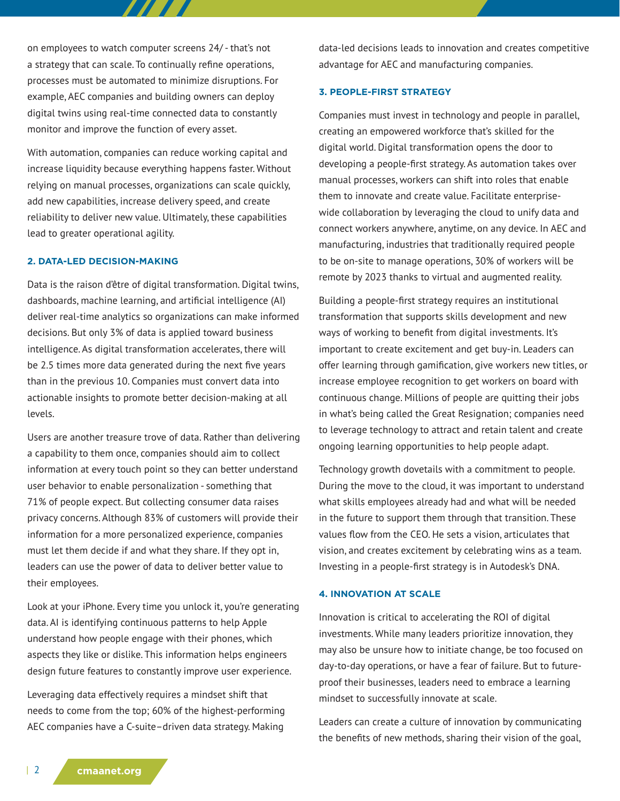on employees to watch computer screens 24/ - that's not a strategy that can scale. To continually refine operations, processes must be automated to minimize disruptions. For example, AEC companies and building owners can deploy digital twins using real-time connected data to constantly monitor and improve the function of every asset.

77. 77

With automation, companies can reduce working capital and increase liquidity because everything happens faster. Without relying on manual processes, organizations can scale quickly, add new capabilities, increase delivery speed, and create reliability to deliver new value. Ultimately, these capabilities lead to greater operational agility.

#### **2. DATA-LED DECISION-MAKING**

Data is the raison d'être of digital transformation. Digital twins, dashboards, machine learning, and artificial intelligence (AI) deliver real-time analytics so organizations can make informed decisions. But only 3% of data is applied toward business intelligence. As digital transformation accelerates, there will be 2.5 times more data generated during the next five years than in the previous 10. Companies must convert data into actionable insights to promote better decision-making at all levels.

Users are another treasure trove of data. Rather than delivering a capability to them once, companies should aim to collect information at every touch point so they can better understand user behavior to enable personalization - something that 71% of people expect. But collecting consumer data raises privacy concerns. Although 83% of customers will provide their information for a more personalized experience, companies must let them decide if and what they share. If they opt in, leaders can use the power of data to deliver better value to their employees.

Look at your iPhone. Every time you unlock it, you're generating data. AI is identifying continuous patterns to help Apple understand how people engage with their phones, which aspects they like or dislike. This information helps engineers design future features to constantly improve user experience.

Leveraging data effectively requires a mindset shift that needs to come from the top; 60% of the highest-performing AEC companies have a C-suite–driven data strategy. Making data-led decisions leads to innovation and creates competitive advantage for AEC and manufacturing companies.

### **3. PEOPLE-FIRST STRATEGY**

Companies must invest in technology and people in parallel, creating an empowered workforce that's skilled for the digital world. Digital transformation opens the door to developing a people-first strategy. As automation takes over manual processes, workers can shift into roles that enable them to innovate and create value. Facilitate enterprisewide collaboration by leveraging the cloud to unify data and connect workers anywhere, anytime, on any device. In AEC and manufacturing, industries that traditionally required people to be on-site to manage operations, 30% of workers will be remote by 2023 thanks to virtual and augmented reality.

Building a people-first strategy requires an institutional transformation that supports skills development and new ways of working to benefit from digital investments. It's important to create excitement and get buy-in. Leaders can offer learning through gamification, give workers new titles, or increase employee recognition to get workers on board with continuous change. Millions of people are quitting their jobs in what's being called the Great Resignation; companies need to leverage technology to attract and retain talent and create ongoing learning opportunities to help people adapt.

Technology growth dovetails with a commitment to people. During the move to the cloud, it was important to understand what skills employees already had and what will be needed in the future to support them through that transition. These values flow from the CEO. He sets a vision, articulates that vision, and creates excitement by celebrating wins as a team. Investing in a people-first strategy is in Autodesk's DNA.

# **4. INNOVATION AT SCALE**

Innovation is critical to accelerating the ROI of digital investments. While many leaders prioritize innovation, they may also be unsure how to initiate change, be too focused on day-to-day operations, or have a fear of failure. But to futureproof their businesses, leaders need to embrace a learning mindset to successfully innovate at scale.

Leaders can create a culture of innovation by communicating the benefits of new methods, sharing their vision of the goal,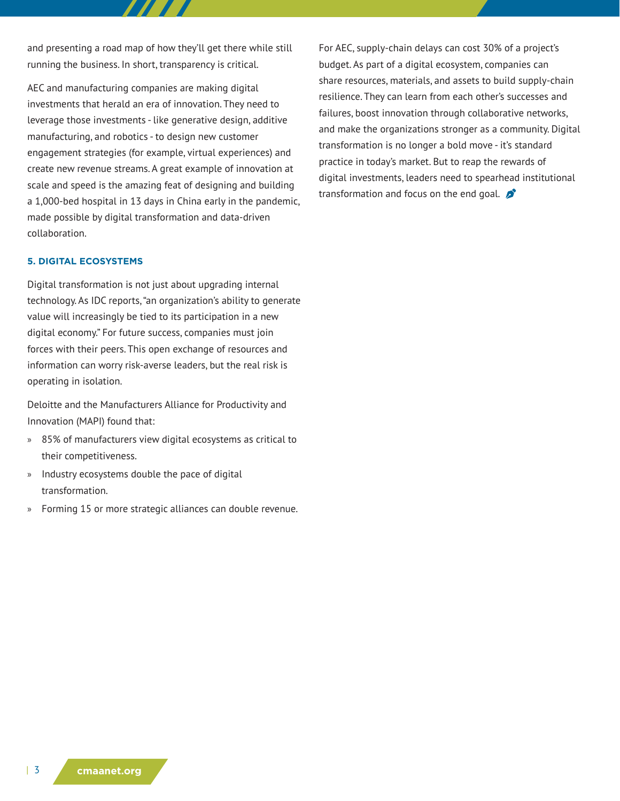and presenting a road map of how they'll get there while still running the business. In short, transparency is critical.

AEC and manufacturing companies are making digital investments that herald an era of innovation. They need to leverage those investments - like generative design, additive manufacturing, and robotics - to design new customer engagement strategies (for example, virtual experiences) and create new revenue streams. A great example of innovation at scale and speed is the amazing feat of designing and building a 1,000-bed hospital in 13 days in China early in the pandemic, made possible by digital transformation and data-driven collaboration.

#### **5. DIGITAL ECOSYSTEMS**

Digital transformation is not just about upgrading internal technology. As IDC reports, "an organization's ability to generate value will increasingly be tied to its participation in a new digital economy." For future success, companies must join forces with their peers. This open exchange of resources and information can worry risk-averse leaders, but the real risk is operating in isolation.

Deloitte and the Manufacturers Alliance for Productivity and Innovation (MAPI) found that:

- » 85% of manufacturers view digital ecosystems as critical to their competitiveness.
- » Industry ecosystems double the pace of digital transformation.
- » Forming 15 or more strategic alliances can double revenue.

For AEC, supply-chain delays can cost 30% of a project's budget. As part of a digital ecosystem, companies can share resources, materials, and assets to build supply-chain resilience. They can learn from each other's successes and failures, boost innovation through collaborative networks, and make the organizations stronger as a community. Digital transformation is no longer a bold move - it's standard practice in today's market. But to reap the rewards of digital investments, leaders need to spearhead institutional transformation and focus on the end goal.  $\mathcal{D}$